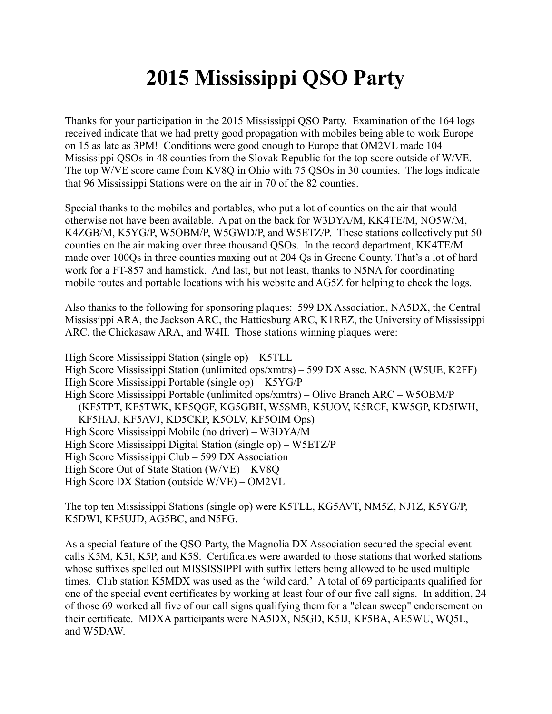## **2015 Mississippi QSO Party**

Thanks for your participation in the 2015 Mississippi QSO Party. Examination of the 164 logs received indicate that we had pretty good propagation with mobiles being able to work Europe on 15 as late as 3PM! Conditions were good enough to Europe that OM2VL made 104 Mississippi QSOs in 48 counties from the Slovak Republic for the top score outside of W/VE. The top W/VE score came from KV8Q in Ohio with 75 QSOs in 30 counties. The logs indicate that 96 Mississippi Stations were on the air in 70 of the 82 counties.

Special thanks to the mobiles and portables, who put a lot of counties on the air that would otherwise not have been available. A pat on the back for W3DYA/M, KK4TE/M, NO5W/M, K4ZGB/M, K5YG/P, W5OBM/P, W5GWD/P, and W5ETZ/P. These stations collectively put 50 counties on the air making over three thousand QSOs. In the record department, KK4TE/M made over 100Qs in three counties maxing out at 204 Qs in Greene County. That's a lot of hard work for a FT-857 and hamstick. And last, but not least, thanks to N5NA for coordinating mobile routes and portable locations with his website and AG5Z for helping to check the logs.

Also thanks to the following for sponsoring plaques: 599 DX Association, NA5DX, the Central Mississippi ARA, the Jackson ARC, the Hattiesburg ARC, K1REZ, the University of Mississippi ARC, the Chickasaw ARA, and W4II. Those stations winning plaques were:

High Score Mississippi Station (single op) – K5TLL High Score Mississippi Station (unlimited ops/xmtrs) – 599 DX Assc. NA5NN (W5UE, K2FF) High Score Mississippi Portable (single op) – K5YG/P High Score Mississippi Portable (unlimited ops/xmtrs) – Olive Branch ARC – W5OBM/P (KF5TPT, KF5TWK, KF5QGF, KG5GBH, W5SMB, K5UOV, K5RCF, KW5GP, KD5IWH, KF5HAJ, KF5AVJ, KD5CKP, K5OLV, KF5OIM Ops) High Score Mississippi Mobile (no driver) – W3DYA/M High Score Mississippi Digital Station (single op) – W5ETZ/P High Score Mississippi Club – 599 DX Association High Score Out of State Station (W/VE) – KV8Q High Score DX Station (outside W/VE) – OM2VL

The top ten Mississippi Stations (single op) were K5TLL, KG5AVT, NM5Z, NJ1Z, K5YG/P, K5DWI, KF5UJD, AG5BC, and N5FG.

As a special feature of the QSO Party, the Magnolia DX Association secured the special event calls K5M, K5I, K5P, and K5S. Certificates were awarded to those stations that worked stations whose suffixes spelled out MISSISSIPPI with suffix letters being allowed to be used multiple times. Club station K5MDX was used as the 'wild card.' A total of 69 participants qualified for one of the special event certificates by working at least four of our five call signs. In addition, 24 of those 69 worked all five of our call signs qualifying them for a "clean sweep" endorsement on their certificate. MDXA participants were NA5DX, N5GD, K5IJ, KF5BA, AE5WU, WQ5L, and W5DAW.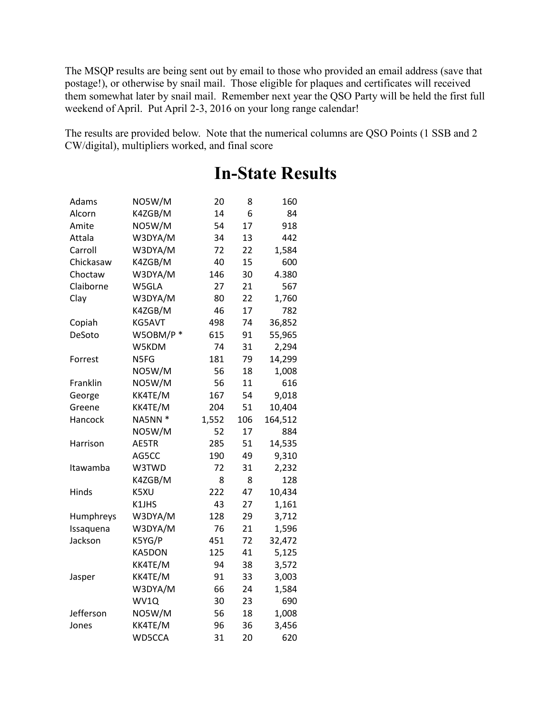The MSQP results are being sent out by email to those who provided an email address (save that postage!), or otherwise by snail mail. Those eligible for plaques and certificates will received them somewhat later by snail mail. Remember next year the QSO Party will be held the first full weekend of April. Put April 2-3, 2016 on your long range calendar!

The results are provided below. Note that the numerical columns are QSO Points (1 SSB and 2 CW/digital), multipliers worked, and final score

| Adams     | NO5W/M   | 20    | 8   | 160     |
|-----------|----------|-------|-----|---------|
| Alcorn    | K4ZGB/M  | 14    | 6   | 84      |
| Amite     | NO5W/M   | 54    | 17  | 918     |
| Attala    | W3DYA/M  | 34    | 13  | 442     |
| Carroll   | W3DYA/M  | 72    | 22  | 1,584   |
| Chickasaw | K4ZGB/M  | 40    | 15  | 600     |
| Choctaw   | W3DYA/M  | 146   | 30  | 4.380   |
| Claiborne | W5GLA    | 27    | 21  | 567     |
| Clay      | W3DYA/M  | 80    | 22  | 1,760   |
|           | K4ZGB/M  | 46    | 17  | 782     |
| Copiah    | KG5AVT   | 498   | 74  | 36,852  |
| DeSoto    | W5OBM/P* | 615   | 91  | 55,965  |
|           | W5KDM    | 74    | 31  | 2,294   |
| Forrest   | N5FG     | 181   | 79  | 14,299  |
|           | NO5W/M   | 56    | 18  | 1,008   |
| Franklin  | NO5W/M   | 56    | 11  | 616     |
| George    | KK4TE/M  | 167   | 54  | 9,018   |
| Greene    | KK4TE/M  | 204   | 51  | 10,404  |
| Hancock   | NA5NN *  | 1,552 | 106 | 164,512 |
|           | NO5W/M   | 52    | 17  | 884     |
| Harrison  | AE5TR    | 285   | 51  | 14,535  |
|           | AG5CC    | 190   | 49  | 9,310   |
| Itawamba  | W3TWD    | 72    | 31  | 2,232   |
|           | K4ZGB/M  | 8     | 8   | 128     |
| Hinds     | K5XU     | 222   | 47  | 10,434  |
|           | K1JHS    | 43    | 27  | 1,161   |
| Humphreys | W3DYA/M  | 128   | 29  | 3,712   |
| Issaquena | W3DYA/M  | 76    | 21  | 1,596   |
| Jackson   | K5YG/P   | 451   | 72  | 32,472  |
|           | KA5DON   | 125   | 41  | 5,125   |
|           | KK4TE/M  | 94    | 38  | 3,572   |
| Jasper    | KK4TE/M  | 91    | 33  | 3,003   |
|           | W3DYA/M  | 66    | 24  | 1,584   |
|           | WV1Q     | 30    | 23  | 690     |
| Jefferson | NO5W/M   | 56    | 18  | 1,008   |
| Jones     | KK4TE/M  | 96    | 36  | 3,456   |
|           | WD5CCA   | 31    | 20  | 620     |

## **In-State Results**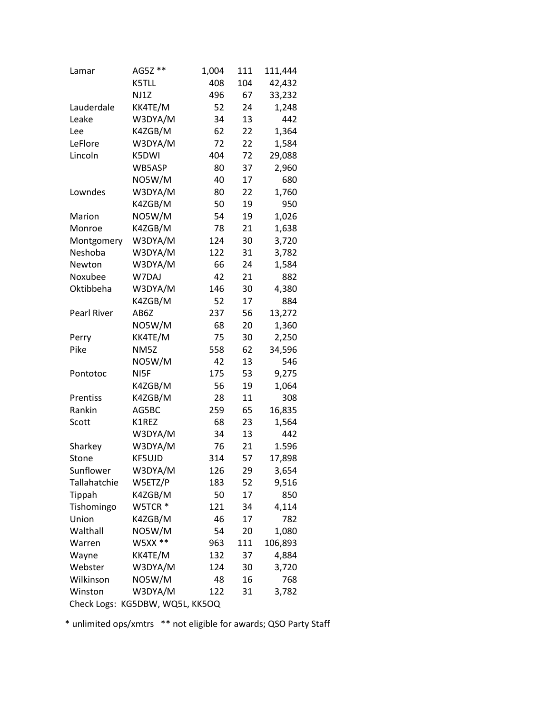| Lamar                           | AG5Z ** | 1,004 | 111 | 111,444 |  |
|---------------------------------|---------|-------|-----|---------|--|
|                                 | K5TLL   | 408   | 104 | 42,432  |  |
|                                 | NJ1Z    | 496   | 67  | 33,232  |  |
| Lauderdale                      | KK4TE/M | 52    | 24  | 1,248   |  |
| Leake                           | W3DYA/M | 34    | 13  | 442     |  |
| Lee                             | K4ZGB/M | 62    | 22  | 1,364   |  |
| LeFlore                         | W3DYA/M | 72    | 22  | 1,584   |  |
| Lincoln                         | K5DWI   | 404   | 72  | 29,088  |  |
|                                 | WB5ASP  | 80    | 37  | 2,960   |  |
|                                 | NO5W/M  | 40    | 17  | 680     |  |
| Lowndes                         | W3DYA/M | 80    | 22  | 1,760   |  |
|                                 | K4ZGB/M | 50    | 19  | 950     |  |
| Marion                          | NO5W/M  | 54    | 19  | 1,026   |  |
| Monroe                          | K4ZGB/M | 78    | 21  | 1,638   |  |
| Montgomery                      | W3DYA/M | 124   | 30  | 3,720   |  |
| Neshoba                         | W3DYA/M | 122   | 31  | 3,782   |  |
| Newton                          | W3DYA/M | 66    | 24  | 1,584   |  |
| Noxubee                         | W7DAJ   | 42    | 21  | 882     |  |
| Oktibbeha                       | W3DYA/M | 146   | 30  | 4,380   |  |
|                                 | K4ZGB/M | 52    | 17  | 884     |  |
| Pearl River                     | AB6Z    | 237   | 56  | 13,272  |  |
|                                 | NO5W/M  | 68    | 20  | 1,360   |  |
| Perry                           | KK4TE/M | 75    | 30  | 2,250   |  |
| Pike                            | NM5Z    | 558   | 62  | 34,596  |  |
|                                 | NO5W/M  | 42    | 13  | 546     |  |
| Pontotoc                        | NI5F    | 175   | 53  | 9,275   |  |
|                                 | K4ZGB/M | 56    | 19  | 1,064   |  |
| Prentiss                        | K4ZGB/M | 28    | 11  | 308     |  |
| Rankin                          | AG5BC   | 259   | 65  | 16,835  |  |
| Scott                           | K1REZ   | 68    | 23  | 1,564   |  |
|                                 | W3DYA/M | 34    | 13  | 442     |  |
| Sharkey                         | W3DYA/M | 76    | 21  | 1.596   |  |
| Stone                           | KF5UJD  | 314   | 57  | 17,898  |  |
| Sunflower                       | W3DYA/M | 126   | 29  | 3,654   |  |
| Tallahatchie                    | W5ETZ/P | 183   | 52  | 9,516   |  |
| Tippah                          | K4ZGB/M | 50    | 17  | 850     |  |
| Tishomingo                      | W5TCR * | 121   | 34  | 4,114   |  |
| Union                           | K4ZGB/M | 46    | 17  | 782     |  |
| Walthall                        | NO5W/M  | 54    | 20  | 1,080   |  |
| Warren                          | W5XX ** | 963   | 111 | 106,893 |  |
| Wayne                           | KK4TE/M | 132   | 37  | 4,884   |  |
| Webster                         | W3DYA/M | 124   | 30  | 3,720   |  |
| Wilkinson                       | NO5W/M  | 48    | 16  | 768     |  |
| Winston                         | W3DYA/M | 122   | 31  | 3,782   |  |
| Check Logs: KG5DBW, WQ5L, KK5OQ |         |       |     |         |  |

\* unlimited ops/xmtrs \*\* not eligible for awards; QSO Party Staff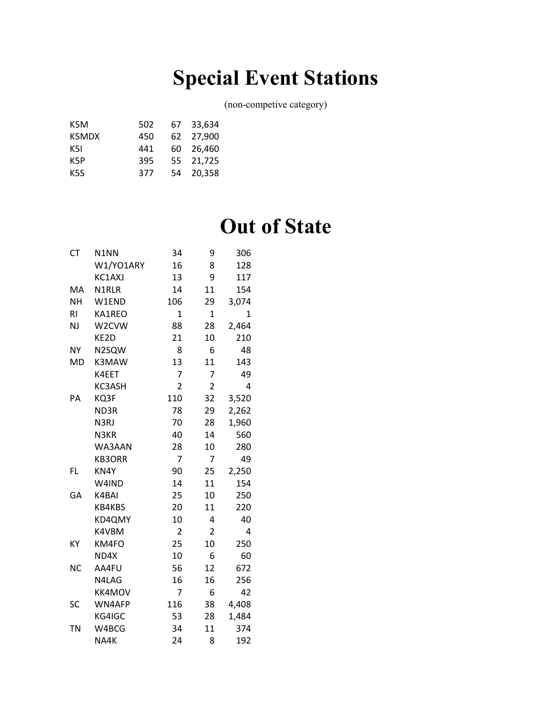## **Special Event Stations**

(non-competive category)

| 502 |      | 67 33.634 |
|-----|------|-----------|
| 450 |      | 62 27.900 |
| 441 | 60 - | 26.460    |
| 395 |      | 55 21,725 |
| 377 |      | 54 20.358 |
|     |      |           |

## **Out of State**

| <b>CT</b>      | N1NN          | 34             | 9              | 306   |
|----------------|---------------|----------------|----------------|-------|
|                | W1/YO1ARY     | 16             | 8              | 128   |
|                | KC1AXJ        | 13             | 9              | 117   |
| MA             | N1RLR         | 14             | 11             | 154   |
| <b>NH</b>      | W1END         | 106            | 29             | 3,074 |
| R <sub>l</sub> | KA1REO        | 1              | $\overline{1}$ | 1     |
| <b>NJ</b>      | W2CVW         | 88             | 28             | 2,464 |
|                | KE2D          | 21             | 10             | 210   |
| <b>NY</b>      | N2SQW         | 8              | 6              | 48    |
| MD             | K3MAW         | 13             | 11             | 143   |
|                | K4EET         | 7              | 7              | 49    |
|                | KC3ASH        | $\overline{2}$ | 2              | 4     |
| PA             | KQ3F          | 110            | 32             | 3,520 |
|                | ND3R          | 78             | 29             | 2,262 |
|                | N3RJ          | 70             | 28             | 1,960 |
|                | N3KR          | 40             | 14             | 560   |
|                | WA3AAN        | 28             | 10             | 280   |
|                | <b>KB3ORR</b> | 7              | 7              | 49    |
| <b>FL</b>      | KN4Y          | 90             | 25             | 2,250 |
|                | W4IND         | 14             | 11             | 154   |
| GA             | K4BAI         | 25             | 10             | 250   |
|                | KB4KBS        | 20             | 11             | 220   |
|                | KD4QMY        | 10             | 4              | 40    |
|                | K4VBM         | 2              | $\overline{2}$ | 4     |
| KY             | KM4FO         | 25             | 10             | 250   |
|                | ND4X          | 10             | 6              | 60    |
| <b>NC</b>      | AA4FU         | 56             | 12             | 672   |
|                | N4LAG         | 16             | 16             | 256   |
|                | <b>KK4MOV</b> | 7              | 6              | 42    |
| SC             | WN4AFP        | 116            | 38             | 4,408 |
|                | KG4IGC        | 53             | 28             | 1,484 |
| ΤN             | W4BCG         | 34             | 11             | 374   |
|                | NA4K          | 24             | 8              | 192   |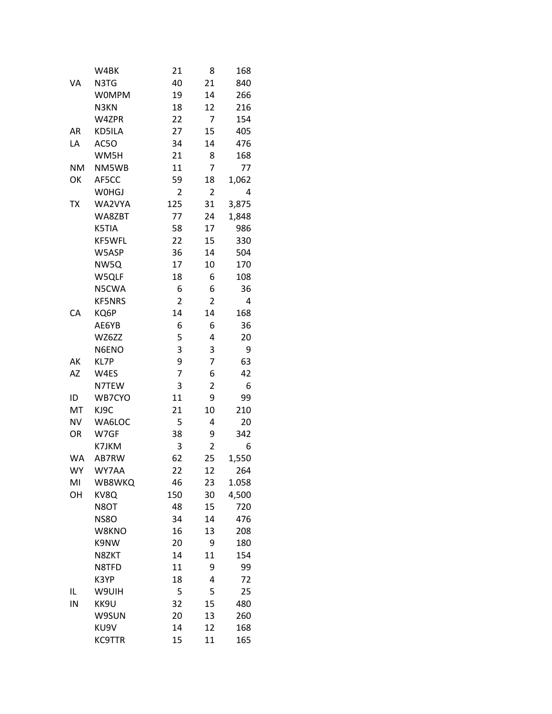|           | W4BK          | 21             | 8              | 168   |
|-----------|---------------|----------------|----------------|-------|
| VA        | N3TG          | 40             | 21             | 840   |
|           | <b>WOMPM</b>  | 19             | 14             | 266   |
|           | N3KN          | 18             | 12             | 216   |
|           | W4ZPR         | 22             | 7              | 154   |
| AR        | KD5ILA        | 27             | 15             | 405   |
| LA        | AC5O          | 34             | 14             | 476   |
|           | WM5H          | 21             | 8              | 168   |
| <b>NM</b> | NM5WB         | 11             | 7              | 77    |
| OK        | AF5CC         | 59             | 18             | 1,062 |
|           | W0HGJ         | 2              | 2              | 4     |
| тх        | WA2VYA        | 125            | 31             | 3,875 |
|           | WA8ZBT        | 77             | 24             | 1,848 |
|           | K5TIA         | 58             | 17             | 986   |
|           | KF5WFL        | 22             | 15             | 330   |
|           | W5ASP         | 36             | 14             | 504   |
|           | NW5Q          | 17             | 10             | 170   |
|           | W5QLF         | 18             | 6              | 108   |
|           | N5CWA         | 6              | 6              | 36    |
|           | <b>KF5NRS</b> | $\overline{2}$ | $\overline{2}$ | 4     |
| CA        | KQ6P          | 14             | 14             | 168   |
|           | AE6YB         | 6              | 6              | 36    |
|           | WZ6ZZ         | 5              | 4              | 20    |
|           | N6ENO         | 3              | 3              | 9     |
| AK        | KL7P          | 9              | 7              | 63    |
| AΖ        | W4ES          | 7              | 6              | 42    |
|           |               |                |                |       |
|           | N7TEW         | 3              | 2              | 6     |
| ID        | WB7CYO        | 11             | 9              | 99    |
| MT        | KJ9C          | 21             | 10             | 210   |
| <b>NV</b> | WA6LOC        | 5              | 4              | 20    |
| OR        | W7GF          | 38             | 9              | 342   |
|           | K7JKM         | 3              | $\overline{2}$ | 6     |
| <b>WA</b> | AB7RW         | 62             | 25             | 1,550 |
| <b>WY</b> | WY7AA         | 22             | 12             | 264   |
| MI        | WB8WKQ        | 46             | 23             | 1.058 |
| OH        | KV8Q          | 150            | 30             | 4,500 |
|           | N8OT          | 48             | 15             | 720   |
|           | <b>NS80</b>   | 34             | 14             | 476   |
|           | W8KNO         | 16             | 13             | 208   |
|           | K9NW          | 20             | 9              | 180   |
|           | N8ZKT         | 14             | 11             | 154   |
|           | N8TFD         | 11             | 9              | 99    |
|           | K3YP          | 18             | 4              | 72    |
| IL        | W9UIH         | 5              | 5              | 25    |
| IN        | KK9U          | 32             | 15             | 480   |
|           | W9SUN         | 20             | 13             | 260   |
|           | KU9V          | 14             | 12             | 168   |
|           | <b>KC9TTR</b> | 15             | 11             | 165   |